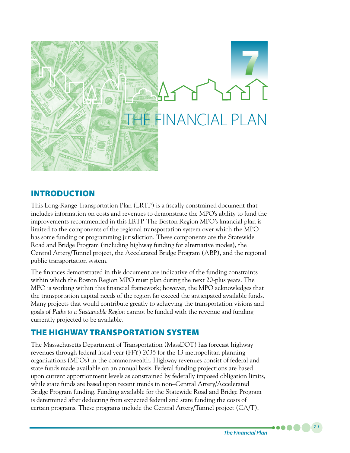

# INTRODUCTION

This Long-Range Transportation Plan (LRTP) is a fiscally constrained document that includes information on costs and revenues to demonstrate the MPO's ability to fund the improvements recommended in this LRTP. The Boston Region MPO's financial plan is limited to the components of the regional transportation system over which the MPO has some funding or programming jurisdiction. These components are the Statewide Road and Bridge Program (including highway funding for alternative modes), the Central Artery/Tunnel project, the Accelerated Bridge Program (ABP), and the regional public transportation system.

The finances demonstrated in this document are indicative of the funding constraints within which the Boston Region MPO must plan during the next 20-plus years. The MPO is working within this financial framework; however, the MPO acknowledges that the transportation capital needs of the region far exceed the anticipated available funds. Many projects that would contribute greatly to achieving the transportation visions and goals of *Paths to a Sustainable Region* cannot be funded with the revenue and funding currently projected to be available.

# THE HIGHWAY TRANSPORTATION SYSTEM

The Massachusetts Department of Transportation (MassDOT) has forecast highway revenues through federal fiscal year (FFY) 2035 for the 13 metropolitan planning organizations (MPOs) in the commonwealth. Highway revenues consist of federal and state funds made available on an annual basis. Federal funding projections are based upon current apportionment levels as constrained by federally imposed obligation limits, while state funds are based upon recent trends in non–Central Artery/Accelerated Bridge Program funding. Funding available for the Statewide Road and Bridge Program is determined after deducting from expected federal and state funding the costs of certain programs. These programs include the Central Artery/Tunnel project (CA/T),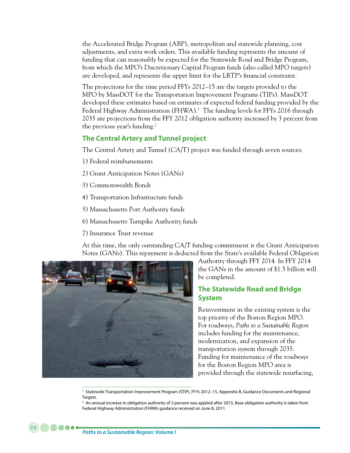the Accelerated Bridge Program (ABP), metropolitan and statewide planning, cost adjustments, and extra work orders. This available funding represents the amount of funding that can reasonably be expected for the Statewide Road and Bridge Program, from which the MPO's Discretionary Capital Program funds (also called MPO targets) are developed, and represents the upper limit for the LRTP's financial constraint.

The projections for the time period FFYs 2012–15 are the targets provided to the MPO by MassDOT for the Transportation Improvement Programs (TIPs). MassDOT developed these estimates based on estimates of expected federal funding provided by the Federal Highway Administration (FHWA).<sup>1</sup> The funding levels for FFYs 2016 through 2035 are projections from the FFY 2012 obligation authority increased by 3 percent from the previous year's funding. $2$ 

## **The Central Artery and Tunnel project**

The Central Artery and Tunnel (CA/T) project was funded through seven sources:

- 1) Federal reimbursements
- 2) Grant Anticipation Notes (GANs)
- 3) Commonwealth Bonds
- 4) Transportation Infrastructure funds
- 5) Massachusetts Port Authority funds
- 6) Massachusetts Turnpike Authority funds
- 7) Insurance Trust revenue

At this time, the only outstanding CA/T funding commitment is the Grant Anticipation Notes (GANs). This repayment is deducted from the State's available Federal Obligation



Authority through FFY 2014. In FFY 2014 the GANs in the amount of \$1.5 billion will be completed.

# **The Statewide Road and Bridge System**

Reinvestment in the existing system is the top priority of the Boston Region MPO. For roadways, *Paths to a Sustainable Region* includes funding for the maintenance, modernization, and expansion of the transportation system through 2035. Funding for maintenance of the roadways for the Boston Region MPO area is provided through the statewide resurfacing,

<sup>1</sup> Statewide Transportation Improvement Program (STIP), FFYs 2012–15, Appendix B, Guidance Documents and Regional Targets.

<sup>2</sup> An annual increase in obligation authority of 3 percent was applied after 2015. Base obligation authority is taken from Federal Highway Administration (FHWA) guidance received on June 8, 2011.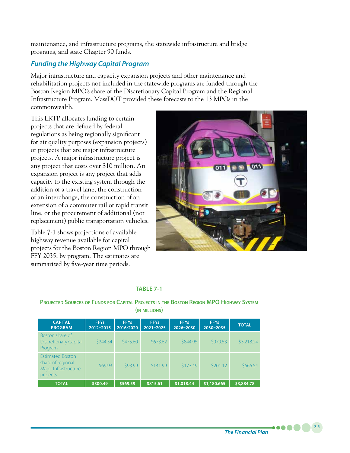maintenance, and infrastructure programs, the statewide infrastructure and bridge programs, and state Chapter 90 funds.

# *Funding the Highway Capital Program*

Major infrastructure and capacity expansion projects and other maintenance and rehabilitation projects not included in the statewide programs are funded through the Boston Region MPO's share of the Discretionary Capital Program and the Regional Infrastructure Program. MassDOT provided these forecasts to the 13 MPOs in the commonwealth.

This LRTP allocates funding to certain projects that are defined by federal regulations as being regionally significant for air quality purposes (expansion projects) or projects that are major infrastructure projects. A major infrastructure project is any project that costs over \$10 million. An expansion project is any project that adds capacity to the existing system through the addition of a travel lane, the construction of an interchange, the construction of an extension of a commuter rail or rapid transit line, or the procurement of additional (not replacement) public transportation vehicles.

Table 7-1 shows projections of available highway revenue available for capital projects for the Boston Region MPO through FFY 2035, by program. The estimates are summarized by five-year time periods.



### **TABLE 7-1**

### **Projected Sources of Funds for Capital Projects in the Boston Region MPO Highway System (in millions)**

| <b>CAPITAL</b><br><b>PROGRAM</b>                                                 | <b>FFYs</b><br>2012-2015 | <b>FFYs</b><br>2016-2020 | <b>FFYs</b><br>$2021 - 2025$ | <b>FFYs</b><br>2026-2030 | <b>FFYs</b><br>2030-2035 | <b>TOTAL</b> |
|----------------------------------------------------------------------------------|--------------------------|--------------------------|------------------------------|--------------------------|--------------------------|--------------|
| Boston share of<br><b>Discretionary Capital</b><br>Program                       | \$244.54                 | \$475.60                 | \$673.62                     | \$844.95                 | \$979.53                 | \$3,218.24   |
| <b>Estimated Boston</b><br>share of regional<br>Major Infrastructure<br>projects | \$69.93                  | \$93.99                  | \$141.99                     | \$173.49                 | \$201.12                 | \$666.54     |
| <b>TOTAL</b>                                                                     | \$300.49                 | \$569.59                 | \$815.61                     | \$1,018.44               | \$1,180.665              | \$3,884.78   |

*The Financial Plan*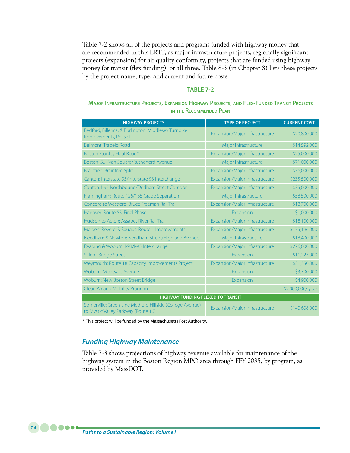Table 7-2 shows all of the projects and programs funded with highway money that are recommended in this LRTP, as major infrastructure projects, regionally significant projects (expansion) for air quality conformity, projects that are funded using highway money for transit (flex funding), or all three. Table 8-3 (in Chapter 8) lists these projects by the project name, type, and current and future costs.

### **TABLE 7-2**

**Major Infrastructure Projects, Expansion Highway Projects, and Flex-Funded Transit Projects in the Recommended Plan**

| <b>HIGHWAY PROJECTS</b>                                                                         | <b>TYPE OF PROJECT</b>         | <b>CURRENT COST</b> |
|-------------------------------------------------------------------------------------------------|--------------------------------|---------------------|
| Bedford, Billerica, & Burlington: Middlesex Turnpike<br>Improvements, Phase III                 | Expansion/Major Infrastructure | \$20,800,000        |
| Belmont: Trapelo Road                                                                           | Major Infrastructure           | \$14,592,000        |
| Boston: Conley Haul Road*                                                                       | Expansion/Major Infrastructure | \$25,000,000        |
| Boston: Sullivan Square/Rutherford Avenue                                                       | Major Infrastructure           | \$71,000,000        |
| Braintree: Braintree Split                                                                      | Expansion/Major Infrastructure | \$36,000,000        |
| Canton: Interstate 95/Interstate 93 Interchange                                                 | Expansion/Major Infrastructure | \$235,500,000       |
| Canton: I-95 Northbound/Dedham Street Corridor                                                  | Expansion/Major Infrastructure | \$35,000,000        |
| Framingham: Route 126/135 Grade Separation                                                      | Major Infrastructure           | \$58,500,000        |
| Concord to Westford: Bruce Freeman Rail Trail                                                   | Expansion/Major Infrastructure | \$18,700,000        |
| Hanover: Route 53, Final Phase                                                                  | Expansion                      | \$1,000,000         |
| Hudson to Acton: Assabet River Rail Trail                                                       | Expansion/Major Infrastructure | \$18,100,000        |
| Malden, Revere, & Saugus: Route 1 Improvements                                                  | Expansion/Major Infrastructure | \$175,196,000       |
| Needham & Newton: Needham Street/Highland Avenue                                                | Major Infrastructure           | \$18,400,000        |
| Reading & Woburn: I-93/I-95 Interchange                                                         | Expansion/Major Infrastructure | \$276,000,000       |
| Salem: Bridge Street                                                                            | Expansion                      | \$11,223,000        |
| Weymouth: Route 18 Capacity Improvements Project                                                | Expansion/Major Infrastructure | \$31,350,000        |
| Woburn: Montvale Avenue                                                                         | Expansion                      | \$3,700,000         |
| Woburn: New Boston Street Bridge                                                                | Expansion                      | \$4,900,000         |
| Clean Air and Mobility Program                                                                  |                                | \$2,000,000/ year   |
| <b>HIGHWAY FUNDING FLEXED TO TRANSIT</b>                                                        |                                |                     |
| Somerville: Green Line Medford Hillside (College Avenue)<br>to Mystic Valley Parkway (Route 16) | Expansion/Major Infrastructure | \$140,608,000       |

\* This project will be funded by the Massachusetts Port Authority.

### *Funding Highway Maintenance*

Table 7-3 shows projections of highway revenue available for maintenance of the highway system in the Boston Region MPO area through FFY 2035, by program, as provided by MassDOT.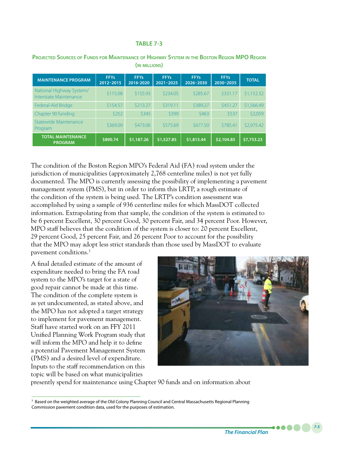#### **TABLE 7-3**

| <b>MAINTENANCE PROGRAM</b>                         | <b>FFYs</b><br>2012-2015 | <b>FFYs</b><br>2016-2020 | <b>FFYs</b><br>2021-2025 | <b>FFYs</b><br>2026-2030 | <b>FFYs</b><br>2030-2035 | <b>TOTAL</b> |
|----------------------------------------------------|--------------------------|--------------------------|--------------------------|--------------------------|--------------------------|--------------|
| National Highway System/<br>Interstate Maintenance | \$115.08                 | \$155.93                 | \$234.05                 | \$285.67                 | \$331.17                 | \$1,152.32   |
| Federal-Aid Bridge                                 | \$154.57                 | \$213.27                 | \$319.11                 | \$389.27                 | \$451.27                 | \$1,566.49   |
| Chapter 90 funding                                 | \$252                    | \$345                    | \$399                    | \$463                    | \$537                    | \$2,059      |
| Statewide Maintenance<br>Program                   | \$369.09                 | \$473.06                 | \$575.69                 | \$677.50                 | \$785.41                 | \$2,975.42   |
| <b>TOTAL MAINTENANCE</b><br><b>PROGRAM</b>         | \$890.74                 | \$1,187.26               | \$1,527.85               | \$1,815.44               | \$2,104.85               | \$7,753.23   |

### **Projected Sources of Funds for Maintenance of Highway System in the Boston Region MPO Region (in millions)**

The condition of the Boston Region MPO's Federal Aid (FA) road system under the jurisdiction of municipalities (approximately 2,768 centerline miles) is not yet fully documented. The MPO is currently assessing the possibility of implementing a pavement management system (PMS), but in order to inform this LRTP, a rough estimate of the condition of the system is being used. The LRTP's condition assessment was accomplished by using a sample of 936 centerline miles for which MassDOT collected information. Extrapolating from that sample, the condition of the system is estimated to be 6 percent Excellent, 30 percent Good, 30 percent Fair, and 34 percent Poor. However, MPO staff believes that the condition of the system is closer to: 20 percent Excellent, 29 percent Good, 25 percent Fair, and 26 percent Poor to account for the possibility that the MPO may adopt less strict standards than those used by MassDOT to evaluate pavement conditions.3

A final detailed estimate of the amount of expenditure needed to bring the FA road system to the MPO's target for a state of good repair cannot be made at this time. The condition of the complete system is as yet undocumented, as stated above, and the MPO has not adopted a target strategy to implement for pavement management. Staff have started work on an FFY 2011 Unified Planning Work Program study that will inform the MPO and help it to define a potential Pavement Management System (PMS) and a desired level of expenditure. Inputs to the staff recommendation on this topic will be based on what municipalities



presently spend for maintenance using Chapter 90 funds and on information about

<sup>&</sup>lt;sup>3</sup> Based on the weighted average of the Old Colony Planning Council and Central Massachusetts Regional Planning Commission pavement condition data, used for the purposes of estimation.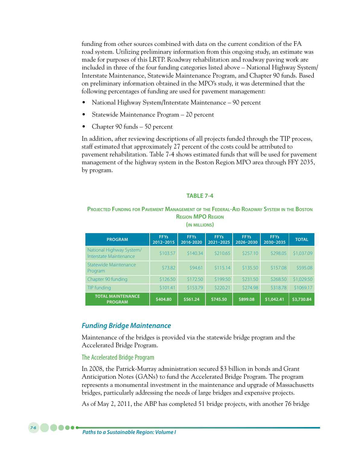funding from other sources combined with data on the current condition of the FA road system. Utilizing preliminary information from this ongoing study, an estimate was made for purposes of this LRTP. Roadway rehabilitation and roadway paving work are included in three of the four funding categories listed above – National Highway System/ Interstate Maintenance, Statewide Maintenance Program, and Chapter 90 funds. Based on preliminary information obtained in the MPO's study, it was determined that the following percentages of funding are used for pavement management:

- National Highway System/Interstate Maintenance 90 percent
- Statewide Maintenance Program 20 percent
- Chapter 90 funds 50 percent

In addition, after reviewing descriptions of all projects funded through the TIP process, staff estimated that approximately 27 percent of the costs could be attributed to pavement rehabilitation. Table 7-4 shows estimated funds that will be used for pavement management of the highway system in the Boston Region MPO area through FFY 2035, by program.

#### **TABLE 7-4**

### **Projected Funding for Pavement Management of the Federal-Aid Roadway System in the Boston Region MPO Region**

| <b>PROGRAM</b>                                     | <b>FFYs</b><br>2012-2015 | <b>FFYs</b><br>2016-2020 | <b>FFYs</b><br>$2021 - 2025$ | <b>FFYs</b><br>2026-2030 | <b>FFYs</b><br>2030-2035 | <b>TOTAL</b> |
|----------------------------------------------------|--------------------------|--------------------------|------------------------------|--------------------------|--------------------------|--------------|
| National Highway System/<br>Interstate Maintenance | \$103.57                 | \$140.34                 | \$210.65                     | \$257.10                 | \$298.05                 | \$1,037.09   |
| Statewide Maintenance<br>Program                   | \$73.82                  | \$94.61                  | \$115.14                     | \$135.50                 | \$157.08                 | \$595.08     |
| Chapter 90 funding                                 | \$126.50                 | \$172.50                 | \$199.50                     | \$231.50                 | \$268.50                 | \$1,029.50   |
| TIP funding                                        | \$101.41                 | \$153.79                 | \$220.21                     | \$274.98                 | \$318.78                 | \$1069.17    |
| <b>TOTAL MAINTENANCE</b><br><b>PROGRAM</b>         | \$404.80                 | \$561.24                 | \$745.50                     | \$899.08                 | \$1,042.41               | \$3,730.84   |

**(in millions)**

## *Funding Bridge Maintenance*

Maintenance of the bridges is provided via the statewide bridge program and the Accelerated Bridge Program.

### The Accelerated Bridge Program

In 2008, the Patrick-Murray administration secured \$3 billion in bonds and Grant Anticipation Notes (GANs) to fund the Accelerated Bridge Program. The program represents a monumental investment in the maintenance and upgrade of Massachusetts bridges, particularly addressing the needs of large bridges and expensive projects.

As of May 2, 2011, the ABP has completed 51 bridge projects, with another 76 bridge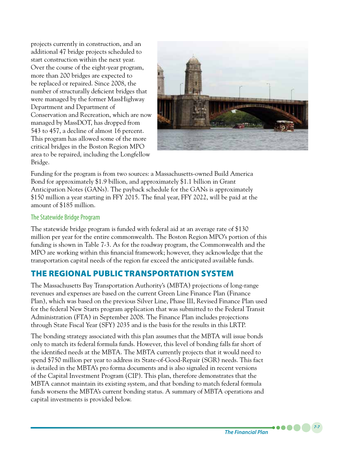projects currently in construction, and an additional 47 bridge projects scheduled to start construction within the next year. Over the course of the eight-year program, more than 200 bridges are expected to be replaced or repaired. Since 2008, the number of structurally deficient bridges that were managed by the former MassHighway Department and Department of Conservation and Recreation, which are now managed by MassDOT, has dropped from 543 to 457, a decline of almost 16 percent. This program has allowed some of the more critical bridges in the Boston Region MPO area to be repaired, including the Longfellow Bridge.



Funding for the program is from two sources: a Massachusetts-owned Build America Bond for approximately \$1.9 billion, and approximately \$1.1 billion in Grant Anticipation Notes (GANs). The payback schedule for the GANs is approximately \$150 million a year starting in FFY 2015. The final year, FFY 2022, will be paid at the amount of \$185 million.

### The Statewide Bridge Program

The statewide bridge program is funded with federal aid at an average rate of \$130 million per year for the entire commonwealth. The Boston Region MPO's portion of this funding is shown in Table 7-3. As for the roadway program, the Commonwealth and the MPO are working within this financial framework; however, they acknowledge that the transportation capital needs of the region far exceed the anticipated available funds.

# THE REGIONAL PUBLIC TRANSPORTATION SYSTEM

The Massachusetts Bay Transportation Authority's (MBTA) projections of long-range revenues and expenses are based on the current Green Line Finance Plan (Finance Plan), which was based on the previous Silver Line, Phase III, Revised Finance Plan used for the federal New Starts program application that was submitted to the Federal Transit Administration (FTA) in September 2008. The Finance Plan includes projections through State Fiscal Year (SFY) 2035 and is the basis for the results in this LRTP.

The bonding strategy associated with this plan assumes that the MBTA will issue bonds only to match its federal formula funds. However, this level of bonding falls far short of the identified needs at the MBTA. The MBTA currently projects that it would need to spend \$750 million per year to address its State-of-Good-Repair (SGR) needs. This fact is detailed in the MBTA's pro forma documents and is also signaled in recent versions of the Capital Investment Program (CIP). This plan, therefore demonstrates that the MBTA cannot maintain its existing system, and that bonding to match federal formula funds worsens the MBTA's current bonding status. A summary of MBTA operations and capital investments is provided below.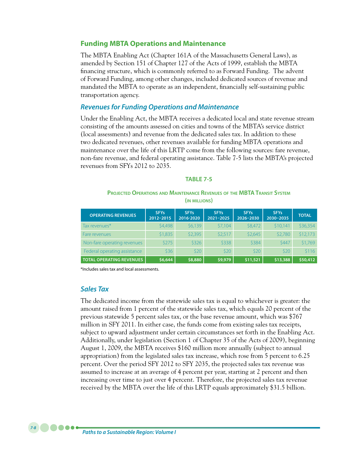### **Funding MBTA Operations and Maintenance**

The MBTA Enabling Act (Chapter 161A of the Massachusetts General Laws), as amended by Section 151 of Chapter 127 of the Acts of 1999, establish the MBTA financing structure, which is commonly referred to as Forward Funding. The advent of Forward Funding, among other changes, included dedicated sources of revenue and mandated the MBTA to operate as an independent, financially self-sustaining public transportation agency.

### *Revenues for Funding Operations and Maintenance*

Under the Enabling Act, the MBTA receives a dedicated local and state revenue stream consisting of the amounts assessed on cities and towns of the MBTA's service district (local assessments) and revenue from the dedicated sales tax. In addition to these two dedicated revenues, other revenues available for funding MBTA operations and maintenance over the life of this LRTP come from the following sources: fare revenue, non-fare revenue, and federal operating assistance. Table 7-5 lists the MBTA's projected revenues from SFYs 2012 to 2035.

### **TABLE 7-5**

### **Projected Operations and Maintenance Revenues of the MBTA Transit System (in millions)**

| <b>OPERATING REVENUES</b>       | <b>SFYs</b><br>2012-2015 | <b>SFYs</b><br>2016-2020 | <b>SFYs</b><br>$2021 - 2025$ | <b>SFYs</b><br>2026-2030 | <b>SFYs</b><br>2030-2035 | <b>TOTAL</b> |
|---------------------------------|--------------------------|--------------------------|------------------------------|--------------------------|--------------------------|--------------|
| Tax revenues*                   | \$4,498                  | \$6,139                  | \$7,104                      | \$8,472                  | \$10,141                 | \$36,354     |
| Fare revenues                   | \$1,835                  | \$2,395                  | \$2.517                      | \$2,645                  | \$2,780                  | \$12,173     |
| Non-fare operating revenues     | \$275                    | \$326                    | \$338                        | \$384                    | \$447                    | \$1,769      |
| Federal operating assistance    | \$36                     | 520                      | \$20                         | \$20                     | \$20                     | \$116        |
| <b>TOTAL OPERATING REVENUES</b> | \$6,644                  | \$8,880                  | \$9,979                      | \$11,521                 | \$13,388                 | \$50,412     |

\*Includes sales tax and local assessments.

### *Sales Tax*

The dedicated income from the statewide sales tax is equal to whichever is greater: the amount raised from 1 percent of the statewide sales tax, which equals 20 percent of the previous statewide 5 percent sales tax, or the base revenue amount, which was \$767 million in SFY 2011. In either case, the funds come from existing sales tax receipts, subject to upward adjustment under certain circumstances set forth in the Enabling Act. Additionally, under legislation (Section 1 of Chapter 35 of the Acts of 2009), beginning August 1, 2009, the MBTA receives \$160 million more annually (subject to annual appropriation) from the legislated sales tax increase, which rose from 5 percent to 6.25 percent. Over the period SFY 2012 to SFY 2035, the projected sales tax revenue was assumed to increase at an average of 4 percent per year, starting at 2 percent and then increasing over time to just over 4 percent. Therefore, the projected sales tax revenue received by the MBTA over the life of this LRTP equals approximately \$31.5 billion.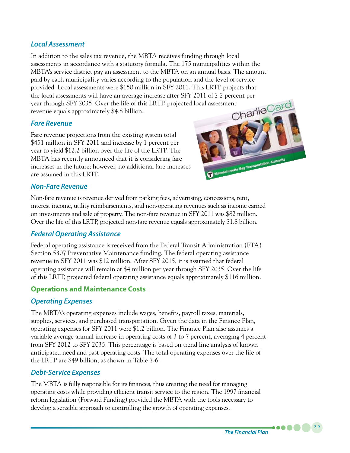## *Local Assessment*

In addition to the sales tax revenue, the MBTA receives funding through local assessments in accordance with a statutory formula. The 175 municipalities within the MBTA's service district pay an assessment to the MBTA on an annual basis. The amount paid by each municipality varies according to the population and the level of service provided. Local assessments were \$150 million in SFY 2011. This LRTP projects that the local assessments will have an average increase after SFY 2011 of 2.2 percent per<br>year through SFY 2035. Over the life of this LRTP, projected local assessment<br>revenue equals approximately \$4.8 billion. year through SFY 2035. Over the life of this LRTP, projected local assessment revenue equals approximately \$4.8 billion.

## *Fare Revenue*

Fare revenue projections from the existing system total \$451 million in SFY 2011 and increase by 1 percent per year to yield \$12.2 billion over the life of the LRTP. The MBTA has recently announced that it is considering fare increases in the future; however, no additional fare increases are assumed in this LRTP.



## *Non-Fare Revenue*

Non-fare revenue is revenue derived from parking fees, advertising, concessions, rent, interest income, utility reimbursements, and non-operating revenues such as income earned on investments and sale of property. The non-fare revenue in SFY 2011 was \$82 million. Over the life of this LRTP, projected non-fare revenue equals approximately \$1.8 billion.

## *Federal Operating Assistance*

Federal operating assistance is received from the Federal Transit Administration (FTA) Section 5307 Preventative Maintenance funding. The federal operating assistance revenue in SFY 2011 was \$12 million. After SFY 2015, it is assumed that federal operating assistance will remain at \$4 million per year through SFY 2035. Over the life of this LRTP, projected federal operating assistance equals approximately \$116 million.

# **Operations and Maintenance Costs**

# *Operating Expenses*

The MBTA's operating expenses include wages, benefits, payroll taxes, materials, supplies, services, and purchased transportation. Given the data in the Finance Plan, operating expenses for SFY 2011 were \$1.2 billion. The Finance Plan also assumes a variable average annual increase in operating costs of 3 to 7 percent, averaging 4 percent from SFY 2012 to SFY 2035. This percentage is based on trend line analysis of known anticipated need and past operating costs. The total operating expenses over the life of the LRTP are \$49 billion, as shown in Table 7-6.

## *Debt-Service Expenses*

The MBTA is fully responsible for its finances, thus creating the need for managing operating costs while providing efficient transit service to the region. The 1997 financial reform legislation (Forward Funding) provided the MBTA with the tools necessary to develop a sensible approach to controlling the growth of operating expenses.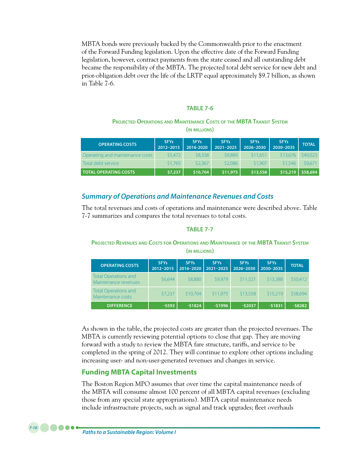MBTA bonds were previously backed by the Commonwealth prior to the enactment of the Forward Funding legislation. Upon the effective date of the Forward Funding legislation, however, contract payments from the state ceased and all outstanding debt became the responsibility of the MBTA. The projected total debt service for new debt and prior-obligation debt over the life of the LRTP equal approximately \$9.7 billion, as shown in Table 7-6.

#### **TABLE 7-6**

#### **Projected Operations and Maintenance Costs of the MBTA Transit System (in millions)**

| <b>OPERATING COSTS</b>          | <b>SFYs</b><br>2012-2015 | <b>SFYs</b><br>2016-2020 | <b>SFYs</b><br>$2021 - 2025$ | <b>SFYs</b><br>2026-2030 | <b>SFYs</b><br>2030-2035 | <b>TOTAL</b> |
|---------------------------------|--------------------------|--------------------------|------------------------------|--------------------------|--------------------------|--------------|
| Operating and maintenance costs | 55.472                   | \$8,338                  | \$9,889                      | \$11,651                 | \$13.676                 | \$49,023     |
| Total debt service              | \$1,765                  | \$2,367                  | \$2,086                      | \$1,907                  | \$1.546                  | \$9,671      |
| <b>TOTAL OPERATING COSTS</b>    | \$7,237                  | \$10,704                 | \$11,975                     | \$13,558                 | \$15,219                 | \$58,694     |

### *Summary of Operations and Maintenance Revenues and Costs*

The total revenues and costs of operations and maintenance were described above. Table 7-7 summarizes and compares the total revenues to total costs.

### **TABLE 7-7**

**Projected Revenues and Costs for Operations and Maintenance of the MBTA Transit System (in millions)**

| <b>OPERATING COSTS</b>                              | <b>SFYs</b><br>2012-2015 | <b>SFYs</b><br>2016-2020 | <b>SFYs</b><br>2021-2025 | <b>SFYs</b><br>2026-2030 | <b>SFYs</b><br>2030-2035 | <b>TOTAL</b> |
|-----------------------------------------------------|--------------------------|--------------------------|--------------------------|--------------------------|--------------------------|--------------|
| <b>Total Operations and</b><br>Maintenance revenues | \$6,644                  | \$8,880                  | \$9,979                  | \$11,521                 | \$13,388                 | \$50,412     |
| <b>Total Operations and</b><br>Maintenance costs    | \$7,237                  | \$10,704                 | \$11,975                 | \$13,558                 | \$15.219                 | \$58,694     |
| <b>DIFFERENCE</b>                                   | $-5593$                  | $-51824$                 | $-51996$                 | $-52037$                 | $-51831$                 | $-58282$     |

As shown in the table, the projected costs are greater than the projected revenues. The MBTA is currently reviewing potential options to close that gap. They are moving forward with a study to review the MBTA fare structure, tariffs, and service to be completed in the spring of 2012. They will continue to explore other options including increasing user- and non-user-generated revenues and changes in service.

### **Funding MBTA Capital Investments**

The Boston Region MPO assumes that over time the capital maintenance needs of the MBTA will consume almost 100 percent of all MBTA capital revenues (excluding those from any special state appropriations). MBTA capital maintenance needs include infrastructure projects, such as signal and track upgrades; fleet overhauls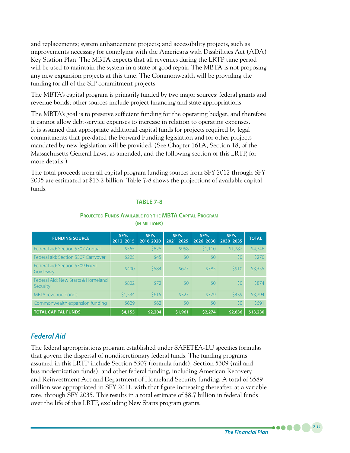and replacements; system enhancement projects; and accessibility projects, such as improvements necessary for complying with the Americans with Disabilities Act (ADA) Key Station Plan. The MBTA expects that all revenues during the LRTP time period will be used to maintain the system in a state of good repair. The MBTA is not proposing any new expansion projects at this time. The Commonwealth will be providing the funding for all of the SIP commitment projects.

The MBTA's capital program is primarily funded by two major sources: federal grants and revenue bonds; other sources include project financing and state appropriations.

The MBTA's goal is to preserve sufficient funding for the operating budget, and therefore it cannot allow debt-service expenses to increase in relation to operating expenses. It is assumed that appropriate additional capital funds for projects required by legal commitments that pre-dated the Forward Funding legislation and for other projects mandated by new legislation will be provided. (See Chapter 161A, Section 18, of the Massachusetts General Laws, as amended, and the following section of this LRTP, for more details.)

The total proceeds from all capital program funding sources from SFY 2012 through SFY 2035 are estimated at \$13.2 billion. Table 7-8 shows the projections of available capital funds.

### **TABLE 7-8**

**Projected Funds Available for the MBTA Capital Program**

| <b>FUNDING SOURCE</b>                          | <b>SFYs</b><br>2012-2015 | <b>SFYs</b><br>2016-2020 | <b>SFYs</b><br>$2021 - 2025$ | <b>SFYs</b><br>2026-2030 | <b>SFYs</b><br>2030-2035 | <b>TOTAL</b> |
|------------------------------------------------|--------------------------|--------------------------|------------------------------|--------------------------|--------------------------|--------------|
| Federal aid: Section 5307 Annual               | \$565                    | \$826                    | \$958                        | \$1,110                  | \$1,287                  | \$4,746      |
| Federal aid: Section 5307 Carryover            | \$225                    | \$45                     | 50                           | \$0                      | 50                       | \$270        |
| Federal aid: Section 5309 Fixed<br>Guideway    | \$400                    | \$584                    | \$677                        | \$785                    | \$910                    | \$3,355      |
| Federal Aid: New Starts & Homeland<br>Security | \$802                    | \$72                     | \$0                          | \$0                      | 50                       | \$874        |
| MBTA revenue bonds                             | \$1,534                  | \$615                    | \$327                        | \$379                    | \$439                    | \$3,294      |
| Commonwealth expansion funding                 | \$629                    | \$62                     | \$0                          | 50                       | 50                       | \$691        |
| <b>TOTAL CAPITAL FUNDS</b>                     | \$4,155                  | \$2,204                  | \$1,961                      | \$2,274                  | \$2,636                  | \$13,230     |

**(in millions)**

# *Federal Aid*

The federal appropriations program established under SAFETEA-LU specifies formulas that govern the dispersal of nondiscretionary federal funds. The funding programs assumed in this LRTP include Section 5307 (formula funds), Section 5309 (rail and bus modernization funds), and other federal funding, including American Recovery and Reinvestment Act and Department of Homeland Security funding. A total of \$589 million was appropriated in SFY 2011, with that figure increasing thereafter, at a variable rate, through SFY 2035. This results in a total estimate of \$8.7 billion in federal funds over the life of this LRTP, excluding New Starts program grants.

*7-11*

. . . .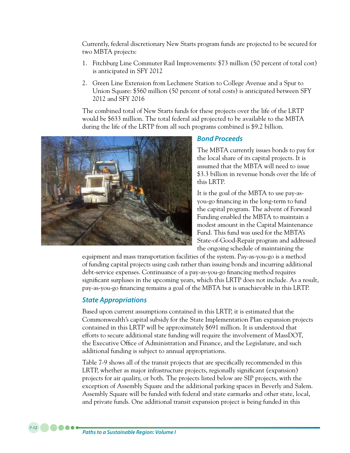Currently, federal discretionary New Starts program funds are projected to be secured for two MBTA projects:

- 1. Fitchburg Line Commuter Rail Improvements: \$73 million (50 percent of total cost) is anticipated in SFY 2012
- 2. Green Line Extension from Lechmere Station to College Avenue and a Spur to Union Square: \$560 million (50 percent of total costs) is anticipated between SFY 2012 and SFY 2016

The combined total of New Starts funds for these projects over the life of the LRTP would be \$633 million. The total federal aid projected to be available to the MBTA during the life of the LRTP from all such programs combined is \$9.2 billion.



### *Bond Proceeds*

The MBTA currently issues bonds to pay for the local share of its capital projects. It is assumed that the MBTA will need to issue \$3.3 billion in revenue bonds over the life of this LRTP.

It is the goal of the MBTA to use pay-asyou-go financing in the long-term to fund the capital program. The advent of Forward Funding enabled the MBTA to maintain a modest amount in the Capital Maintenance Fund. This fund was used for the MBTA's State-of-Good-Repair program and addressed the ongoing schedule of maintaining the

equipment and mass transportation facilities of the system. Pay-as-you-go is a method of funding capital projects using cash rather than issuing bonds and incurring additional debt-service expenses. Continuance of a pay-as-you-go financing method requires significant surpluses in the upcoming years, which this LRTP does not include. As a result, pay-as-you-go financing remains a goal of the MBTA but is unachievable in this LRTP.

## *State Appropriations*

Based upon current assumptions contained in this LRTP, it is estimated that the Commonwealth's capital subsidy for the State Implementation Plan expansion projects contained in this LRTP will be approximately \$691 million. It is understood that efforts to secure additional state funding will require the involvement of MassDOT, the Executive Office of Administration and Finance, and the Legislature, and such additional funding is subject to annual appropriations.

Table 7-9 shows all of the transit projects that are specifically recommended in this LRTP, whether as major infrastructure projects, regionally significant (expansion) projects for air quality, or both. The projects listed below are SIP projects, with the exception of Assembly Square and the additional parking spaces in Beverly and Salem. Assembly Square will be funded with federal and state earmarks and other state, local, and private funds. One additional transit expansion project is being funded in this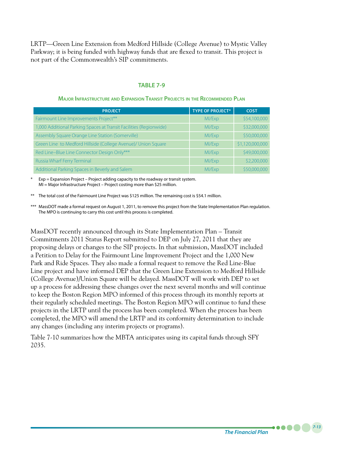LRTP—Green Line Extension from Medford Hillside (College Avenue) to Mystic Valley Parkway; it is being funded with highway funds that are flexed to transit. This project is not part of the Commonwealth's SIP commitments.

#### **TABLE 7-9**

## **Project Type of Project\* Cost** Fairmount Line Improvements Project\*\* MILEX And MILEX MILEX MILEX MILEX MILEX MILEX MILEX MILEX MILEX MILEX MI 1,000 Additional Parking Spaces at Transit Facilities (Regionwide) MI/Exp MI/Exp \$32,000,000 Assembly Square Orange Line Station (Somerville) MI/Exp MI/Exp \$50,000,000 Green Line to Medford Hillside (College Avenue)/ Union Square MI/Exp \$1,120,000,000 Red Line–Blue Line Connector Design Only\*\*\* Milled Connector Design Only \*\*\* MI/Exp \$49,000,000 Russia Wharf Ferry Terminal MIXEX and MIXEX and MIXEX and MIXEX and MIXEX and MIXEX and MIXEX and MIXEX and MI Additional Parking Spaces in Beverly and Salem MI MI/Exp \$50,000,000 \$50,000,000

#### **Major Infrastructure and Expansion Transit Projects in the Recommended Plan**

 $Exp =$  Expansion Project – Project adding capacity to the roadway or transit system. MI = Major Infrastructure Project – Project costing more than \$25 million.

\*\* The total cost of the Fairmount Line Project was \$125 million. The remaining cost is \$54.1 million.

\*\*\* MassDOT made a formal request on August 1, 2011, to remove this project from the State Implementation Plan regulation. The MPO is continuing to carry this cost until this process is completed.

MassDOT recently announced through its State Implementation Plan – Transit Commitments 2011 Status Report submitted to DEP on July 27, 2011 that they are proposing delays or changes to the SIP projects. In that submission, MassDOT included a Petition to Delay for the Fairmount Line Improvement Project and the 1,000 New Park and Ride Spaces. They also made a formal request to remove the Red Line-Blue Line project and have informed DEP that the Green Line Extension to Medford Hillside (College Avenue)/Union Square will be delayed. MassDOT will work with DEP to set up a process for addressing these changes over the next several months and will continue to keep the Boston Region MPO informed of this process through its monthly reports at their regularly scheduled meetings. The Boston Region MPO will continue to fund these projects in the LRTP until the process has been completed. When the process has been completed, the MPO will amend the LRTP and its conformity determination to include any changes (including any interim projects or programs).

Table 7-10 summarizes how the MBTA anticipates using its capital funds through SFY 2035.